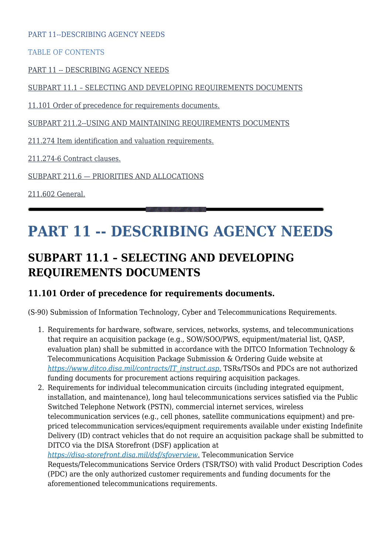PART 11--DESCRIBING AGENCY NEEDS

TABLE OF CONTENTS

[PART 11 -- DESCRIBING AGENCY NEEDS](#page--1-0)

[SUBPART 11.1 – SELECTING AND DEVELOPING REQUIREMENTS DOCUMENTS](#page--1-0)

[11.101 Order of precedence for requirements documents.](#page--1-0)

[SUBPART 211.2--USING AND MAINTAINING REQUIREMENTS DOCUMENTS](#page--1-0)

[211.274 Item identification and valuation requirements.](#page--1-0)

[211.274-6 Contract clauses.](#page--1-0)

[SUBPART 211.6 — PRIORITIES AND ALLOCATIONS](#page--1-0)

[211.602 General.](#page--1-0)

# **PART 11 -- DESCRIBING AGENCY NEEDS**

# **SUBPART 11.1 – SELECTING AND DEVELOPING REQUIREMENTS DOCUMENTS**

#### **11.101 Order of precedence for requirements documents.**

(S-90) Submission of Information Technology, Cyber and Telecommunications Requirements.

- 1. Requirements for hardware, software, services, networks, systems, and telecommunications that require an acquisition package (e.g., SOW/SOO/PWS, equipment/material list, QASP, evaluation plan) shall be submitted in accordance with the DITCO Information Technology & Telecommunications Acquisition Package Submission & Ordering Guide website at *[https://www.ditco.disa.mil/contracts/IT\\_instruct.asp](https://www.ditco.disa.mil/contracts/IT_instruct.asp)*[.](https://www.ditco.disa.mil/contracts/IT_instruct.asp) TSRs/TSOs and PDCs are not authorized funding documents for procurement actions requiring acquisition packages.
- 2. Requirements for individual telecommunication circuits (including integrated equipment, installation, and maintenance), long haul telecommunications services satisfied via the Public Switched Telephone Network (PSTN), commercial internet services, wireless telecommunication services (e.g., cell phones, satellite communications equipment) and prepriced telecommunication services/equipment requirements available under existing Indefinite Delivery (ID) contract vehicles that do not require an acquisition package shall be submitted to DITCO via the DISA Storefront (DSF) application at

*<https://disa-storefront.disa.mil/dsf/sfoverview>*[.](https://disa-storefront.disa.mil/dsf/sfoverview) Telecommunication Service Requests/Telecommunications Service Orders (TSR/TSO) with valid Product Description Codes (PDC) are the only authorized customer requirements and funding documents for the aforementioned telecommunications requirements.